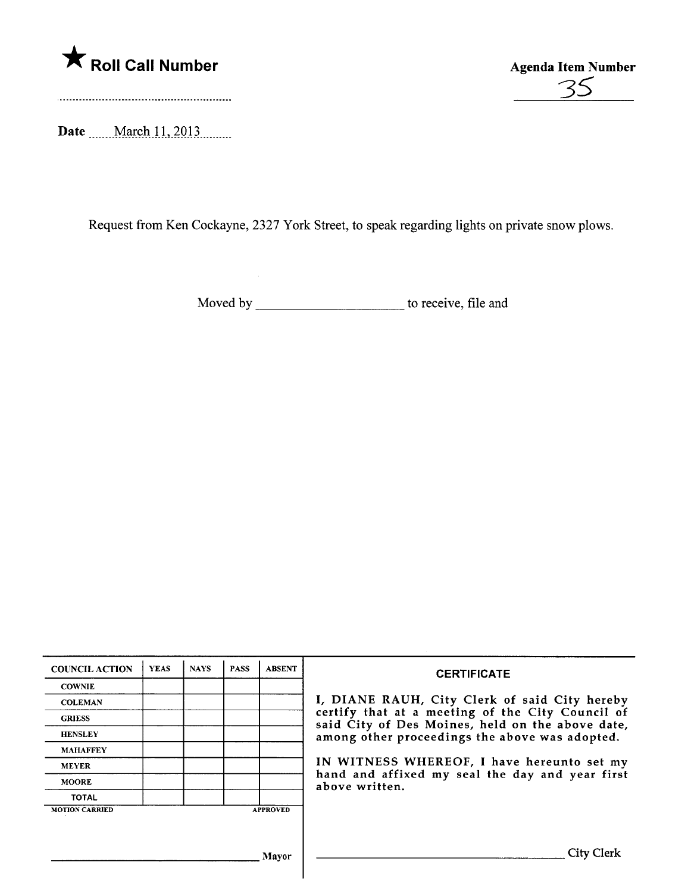



Date \_\_\_\_\_March 11, 2013 \_\_\_\_\_\_.

Request from Ken Cockayne, 2327 York Street, to speak regarding lights on private snow plows.

Moved by to receive, fie and

| <b>COUNCIL ACTION</b> | <b>YEAS</b> | <b>NAYS</b> | <b>PASS</b> | <b>ABSENT</b>   | <b>CERTIFICATE</b>                                                                                   |  |
|-----------------------|-------------|-------------|-------------|-----------------|------------------------------------------------------------------------------------------------------|--|
| <b>COWNIE</b>         |             |             |             |                 |                                                                                                      |  |
| <b>COLEMAN</b>        |             |             |             |                 | I, DIANE RAUH, City Clerk of said City hereby                                                        |  |
| <b>GRIESS</b>         |             |             |             |                 | certify that at a meeting of the City Council of<br>said City of Des Moines, held on the above date, |  |
| <b>HENSLEY</b>        |             |             |             |                 | among other proceedings the above was adopted.                                                       |  |
| <b>MAHAFFEY</b>       |             |             |             |                 |                                                                                                      |  |
| <b>MEYER</b>          |             |             |             |                 | IN WITNESS WHEREOF, I have hereunto set my                                                           |  |
| <b>MOORE</b>          |             |             |             |                 | hand and affixed my seal the day and year first<br>above written.                                    |  |
| <b>TOTAL</b>          |             |             |             |                 |                                                                                                      |  |
| <b>MOTION CARRIED</b> |             |             |             | <b>APPROVED</b> |                                                                                                      |  |
|                       |             |             |             |                 |                                                                                                      |  |
|                       |             |             |             | Mavor           | City Clerk                                                                                           |  |